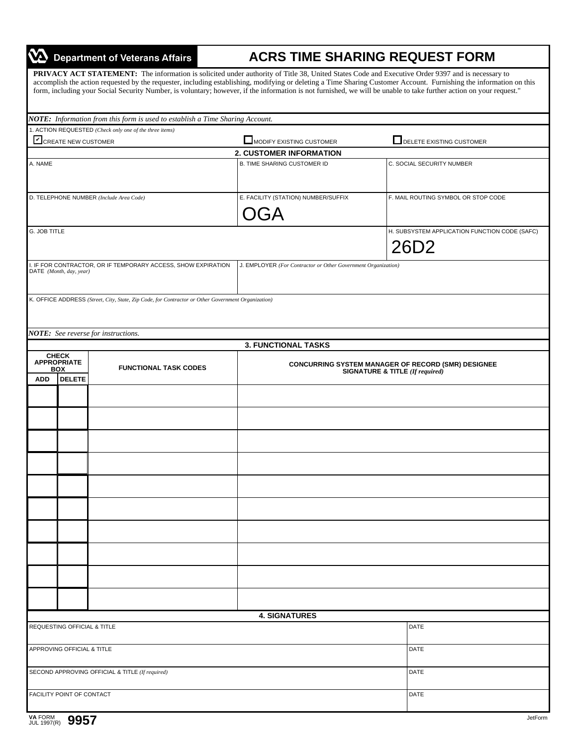## $\boldsymbol{\varpi}$ Department of Veterans Affairs

## **ACRS TIME SHARING REQUEST FORM**

PRIVACY ACT STATEMENT: The information is solicited under authority of Title 38, United States Code and Executive Order 9397 and is necessary to accomplish the action requested by the requester, including establishing, modifying or deleting a Time Sharing Customer Account. Furnishing the information on this form, including your Social Security Number, is voluntary; however, if the information is not furnished, we will be unable to take further action on your request."

|              |                                  | NOTE: Information from this form is used to establish a Time Sharing Account.                      |                                                                                              |                                               |
|--------------|----------------------------------|----------------------------------------------------------------------------------------------------|----------------------------------------------------------------------------------------------|-----------------------------------------------|
|              |                                  | 1. ACTION REQUESTED (Check only one of the three items)                                            |                                                                                              |                                               |
|              | CREATE NEW CUSTOMER              |                                                                                                    | MODIFY EXISTING CUSTOMER                                                                     | DELETE EXISTING CUSTOMER                      |
| A. NAME      |                                  |                                                                                                    | <b>2. CUSTOMER INFORMATION</b><br><b>B. TIME SHARING CUSTOMER ID</b>                         | C. SOCIAL SECURITY NUMBER                     |
|              |                                  |                                                                                                    |                                                                                              |                                               |
|              |                                  |                                                                                                    |                                                                                              |                                               |
|              |                                  | D. TELEPHONE NUMBER (Include Area Code)                                                            | E. FACILITY (STATION) NUMBER/SUFFIX                                                          | F. MAIL ROUTING SYMBOL OR STOP CODE           |
|              |                                  |                                                                                                    | OGA                                                                                          |                                               |
|              |                                  |                                                                                                    |                                                                                              |                                               |
| G. JOB TITLE |                                  |                                                                                                    |                                                                                              | H. SUBSYSTEM APPLICATION FUNCTION CODE (SAFC) |
|              |                                  |                                                                                                    |                                                                                              | 26D <sub>2</sub>                              |
|              |                                  | I. IF FOR CONTRACTOR, OR IF TEMPORARY ACCESS, SHOW EXPIRATION                                      | J. EMPLOYER (For Contractor or Other Government Organization)                                |                                               |
|              | DATE (Month, day, year)          |                                                                                                    |                                                                                              |                                               |
|              |                                  |                                                                                                    |                                                                                              |                                               |
|              |                                  | K. OFFICE ADDRESS (Street, City, State, Zip Code, for Contractor or Other Government Organization) |                                                                                              |                                               |
|              |                                  |                                                                                                    |                                                                                              |                                               |
|              |                                  |                                                                                                    |                                                                                              |                                               |
|              |                                  | NOTE: See reverse for instructions.                                                                | <b>3. FUNCTIONAL TASKS</b>                                                                   |                                               |
|              | <b>CHECK</b>                     |                                                                                                    |                                                                                              |                                               |
|              | <b>APPROPRIATE</b><br><b>BOX</b> | <b>FUNCTIONAL TASK CODES</b>                                                                       | <b>CONCURRING SYSTEM MANAGER OF RECORD (SMR) DESIGNEE</b><br>SIGNATURE & TITLE (If required) |                                               |
| <b>ADD</b>   | <b>DELETE</b>                    |                                                                                                    |                                                                                              |                                               |
|              |                                  |                                                                                                    |                                                                                              |                                               |
|              |                                  |                                                                                                    |                                                                                              |                                               |
|              |                                  |                                                                                                    |                                                                                              |                                               |
|              |                                  |                                                                                                    |                                                                                              |                                               |
|              |                                  |                                                                                                    |                                                                                              |                                               |
|              |                                  |                                                                                                    |                                                                                              |                                               |
|              |                                  |                                                                                                    |                                                                                              |                                               |
|              |                                  |                                                                                                    |                                                                                              |                                               |
|              |                                  |                                                                                                    |                                                                                              |                                               |
|              |                                  |                                                                                                    |                                                                                              |                                               |
|              |                                  |                                                                                                    |                                                                                              |                                               |
|              |                                  |                                                                                                    |                                                                                              |                                               |
|              |                                  |                                                                                                    |                                                                                              |                                               |
|              |                                  |                                                                                                    |                                                                                              |                                               |
|              |                                  |                                                                                                    |                                                                                              |                                               |
|              |                                  |                                                                                                    |                                                                                              |                                               |
|              |                                  |                                                                                                    |                                                                                              |                                               |
|              |                                  |                                                                                                    | <b>4. SIGNATURES</b>                                                                         |                                               |
|              | REQUESTING OFFICIAL & TITLE      |                                                                                                    |                                                                                              | DATE                                          |
|              |                                  |                                                                                                    |                                                                                              |                                               |
|              | APPROVING OFFICIAL & TITLE       |                                                                                                    | DATE                                                                                         |                                               |
|              |                                  |                                                                                                    |                                                                                              |                                               |
|              |                                  | SECOND APPROVING OFFICIAL & TITLE (If required)                                                    | DATE                                                                                         |                                               |
|              | FACILITY POINT OF CONTACT        |                                                                                                    |                                                                                              | DATE                                          |
|              |                                  |                                                                                                    |                                                                                              |                                               |
|              |                                  |                                                                                                    |                                                                                              |                                               |